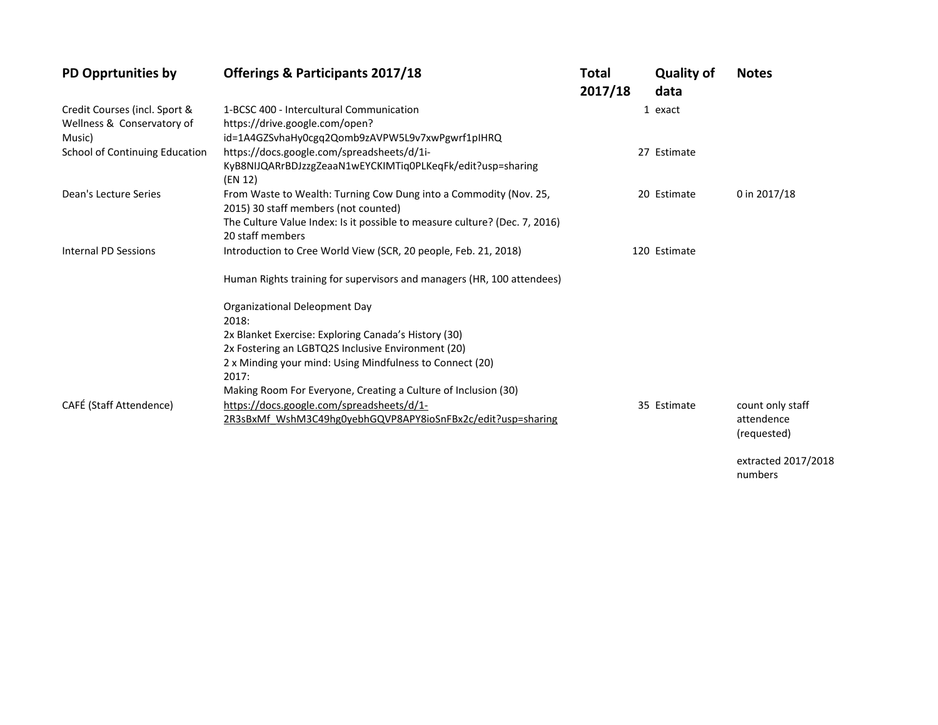| <b>PD Opprtunities by</b>      | <b>Offerings &amp; Participants 2017/18</b>                                | Total<br>2017/18 | <b>Quality of</b><br>data | <b>Notes</b>              |
|--------------------------------|----------------------------------------------------------------------------|------------------|---------------------------|---------------------------|
| Credit Courses (incl. Sport &  | 1-BCSC 400 - Intercultural Communication                                   |                  | 1 exact                   |                           |
| Wellness & Conservatory of     | https://drive.google.com/open?                                             |                  |                           |                           |
| Music)                         | id=1A4GZSvhaHy0cgq2Qomb9zAVPW5L9v7xwPgwrf1pIHRQ                            |                  |                           |                           |
| School of Continuing Education | https://docs.google.com/spreadsheets/d/1i-                                 |                  | 27 Estimate               |                           |
|                                | KyB8NIJQARrBDJzzgZeaaN1wEYCKIMTiq0PLKeqFk/edit?usp=sharing<br>(EN 12)      |                  |                           |                           |
| Dean's Lecture Series          | From Waste to Wealth: Turning Cow Dung into a Commodity (Nov. 25,          |                  | 20 Estimate               | 0 in 2017/18              |
|                                | 2015) 30 staff members (not counted)                                       |                  |                           |                           |
|                                | The Culture Value Index: Is it possible to measure culture? (Dec. 7, 2016) |                  |                           |                           |
|                                | 20 staff members                                                           |                  |                           |                           |
| <b>Internal PD Sessions</b>    | Introduction to Cree World View (SCR, 20 people, Feb. 21, 2018)            |                  | 120 Estimate              |                           |
|                                | Human Rights training for supervisors and managers (HR, 100 attendees)     |                  |                           |                           |
|                                | <b>Organizational Deleopment Day</b>                                       |                  |                           |                           |
|                                | 2018:                                                                      |                  |                           |                           |
|                                | 2x Blanket Exercise: Exploring Canada's History (30)                       |                  |                           |                           |
|                                | 2x Fostering an LGBTQ2S Inclusive Environment (20)                         |                  |                           |                           |
|                                | 2 x Minding your mind: Using Mindfulness to Connect (20)                   |                  |                           |                           |
|                                | 2017:                                                                      |                  |                           |                           |
|                                | Making Room For Everyone, Creating a Culture of Inclusion (30)             |                  |                           |                           |
| CAFÉ (Staff Attendence)        | https://docs.google.com/spreadsheets/d/1-                                  |                  | 35 Estimate               | count only staff          |
|                                | 2R3sBxMf WshM3C49hg0yebhGQVP8APY8ioSnFBx2c/edit?usp=sharing                |                  |                           | attendence<br>(requested) |

extracted 2017/2018 numbers